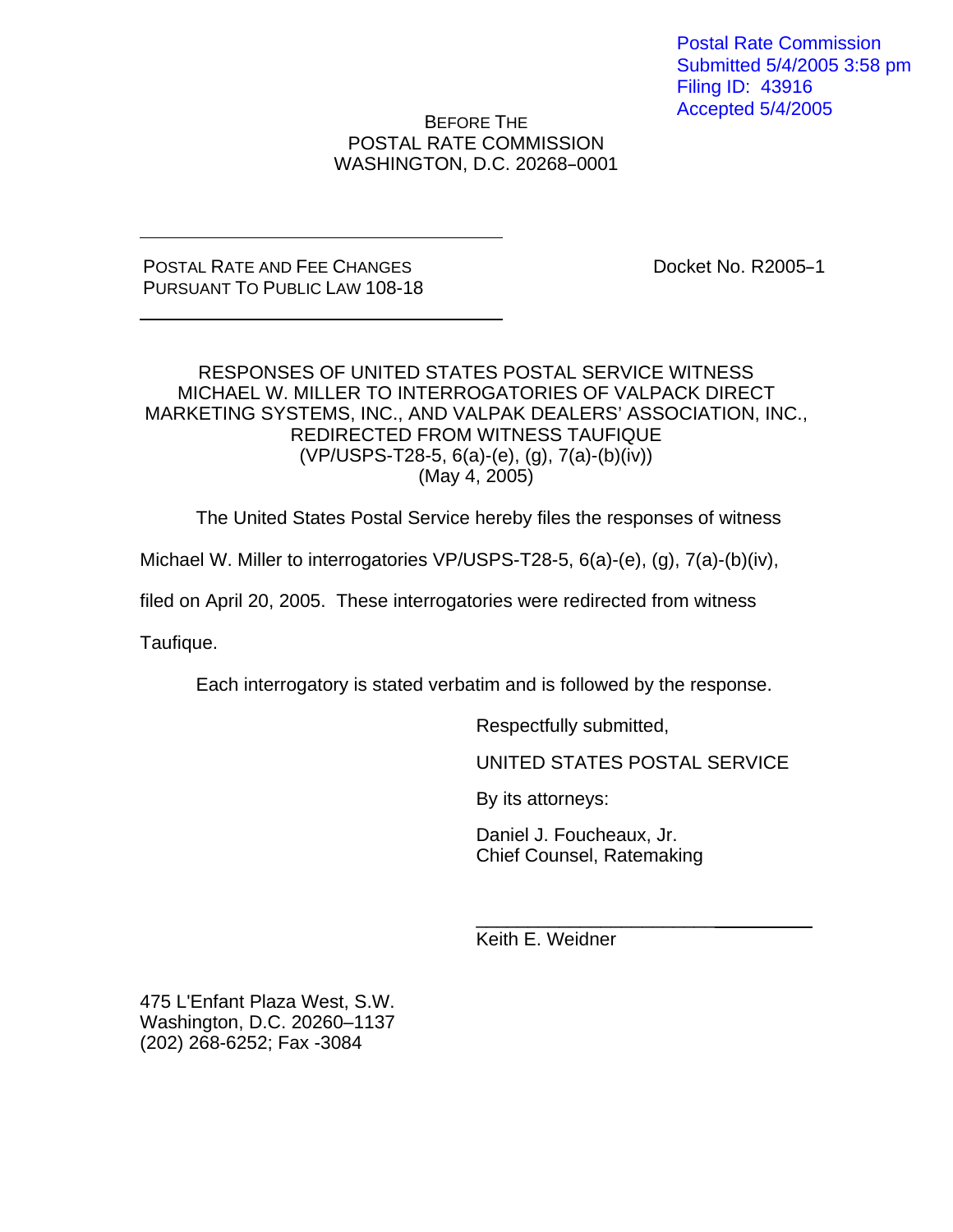Postal Rate Commission Submitted 5/4/2005 3:58 pm Filing ID: 43916 Accepted 5/4/2005

BEFORE THE POSTAL RATE COMMISSION WASHINGTON, D.C. 20268-0001

#### POSTAL RATE AND FEE CHANGES PURSUANT TO PUBLIC LAW 108-18

Docket No. R2005-1

# RESPONSES OF UNITED STATES POSTAL SERVICE WITNESS MICHAEL W. MILLER TO INTERROGATORIES OF VALPACK DIRECT MARKETING SYSTEMS, INC., AND VALPAK DEALERS' ASSOCIATION, INC., REDIRECTED FROM WITNESS TAUFIQUE (VP/USPS-T28-5, 6(a)-(e), (g), 7(a)-(b)(iv)) (May 4, 2005)

The United States Postal Service hereby files the responses of witness

Michael W. Miller to interrogatories VP/USPS-T28-5, 6(a)-(e), (g), 7(a)-(b)(iv),

filed on April 20, 2005. These interrogatories were redirected from witness

Taufique.

Each interrogatory is stated verbatim and is followed by the response.

Respectfully submitted,

UNITED STATES POSTAL SERVICE

By its attorneys:

Daniel J. Foucheaux, Jr. Chief Counsel, Ratemaking

\_\_\_\_\_\_\_\_\_\_\_\_\_\_\_\_\_\_\_\_\_\_\_ Keith E. Weidner

475 L'Enfant Plaza West, S.W. Washington, D.C. 20260–1137 (202) 268-6252; Fax -3084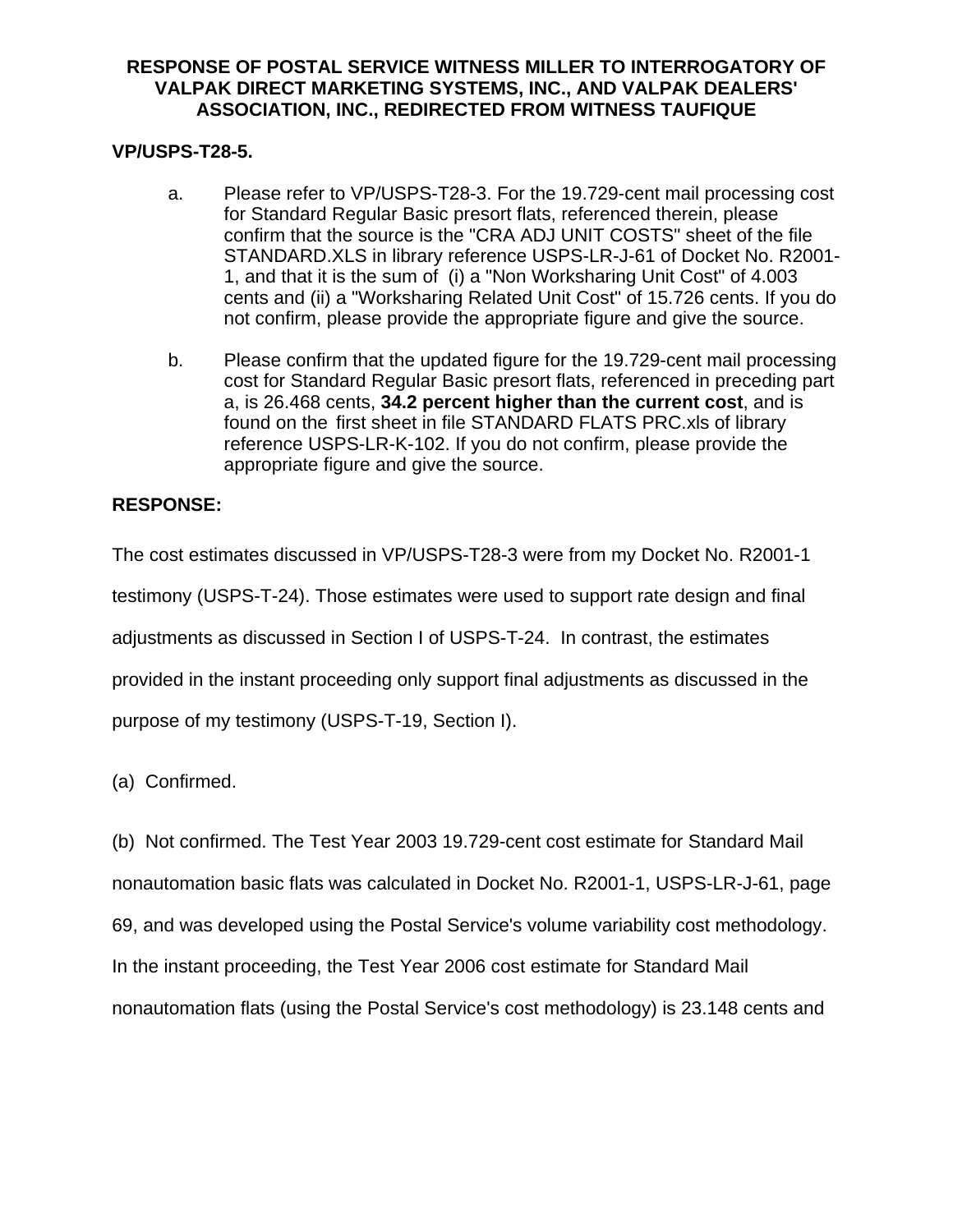# **VP/USPS-T28-5.**

- a. Please refer to VP/USPS-T28-3. For the 19.729-cent mail processing cost for Standard Regular Basic presort flats, referenced therein, please confirm that the source is the "CRA ADJ UNIT COSTS" sheet of the file STANDARD.XLS in library reference USPS-LR-J-61 of Docket No. R2001- 1, and that it is the sum of (i) a "Non Worksharing Unit Cost" of 4.003 cents and (ii) a "Worksharing Related Unit Cost" of 15.726 cents. If you do not confirm, please provide the appropriate figure and give the source.
- b. Please confirm that the updated figure for the 19.729-cent mail processing cost for Standard Regular Basic presort flats, referenced in preceding part a, is 26.468 cents, **34.2 percent higher than the current cost**, and is found on the first sheet in file STANDARD FLATS PRC.xls of library reference USPS-LR-K-102. If you do not confirm, please provide the appropriate figure and give the source.

# **RESPONSE:**

The cost estimates discussed in VP/USPS-T28-3 were from my Docket No. R2001-1 testimony (USPS-T-24). Those estimates were used to support rate design and final adjustments as discussed in Section I of USPS-T-24. In contrast, the estimates provided in the instant proceeding only support final adjustments as discussed in the purpose of my testimony (USPS-T-19, Section I).

(a) Confirmed.

(b) Not confirmed. The Test Year 2003 19.729-cent cost estimate for Standard Mail nonautomation basic flats was calculated in Docket No. R2001-1, USPS-LR-J-61, page 69, and was developed using the Postal Service's volume variability cost methodology. In the instant proceeding, the Test Year 2006 cost estimate for Standard Mail nonautomation flats (using the Postal Service's cost methodology) is 23.148 cents and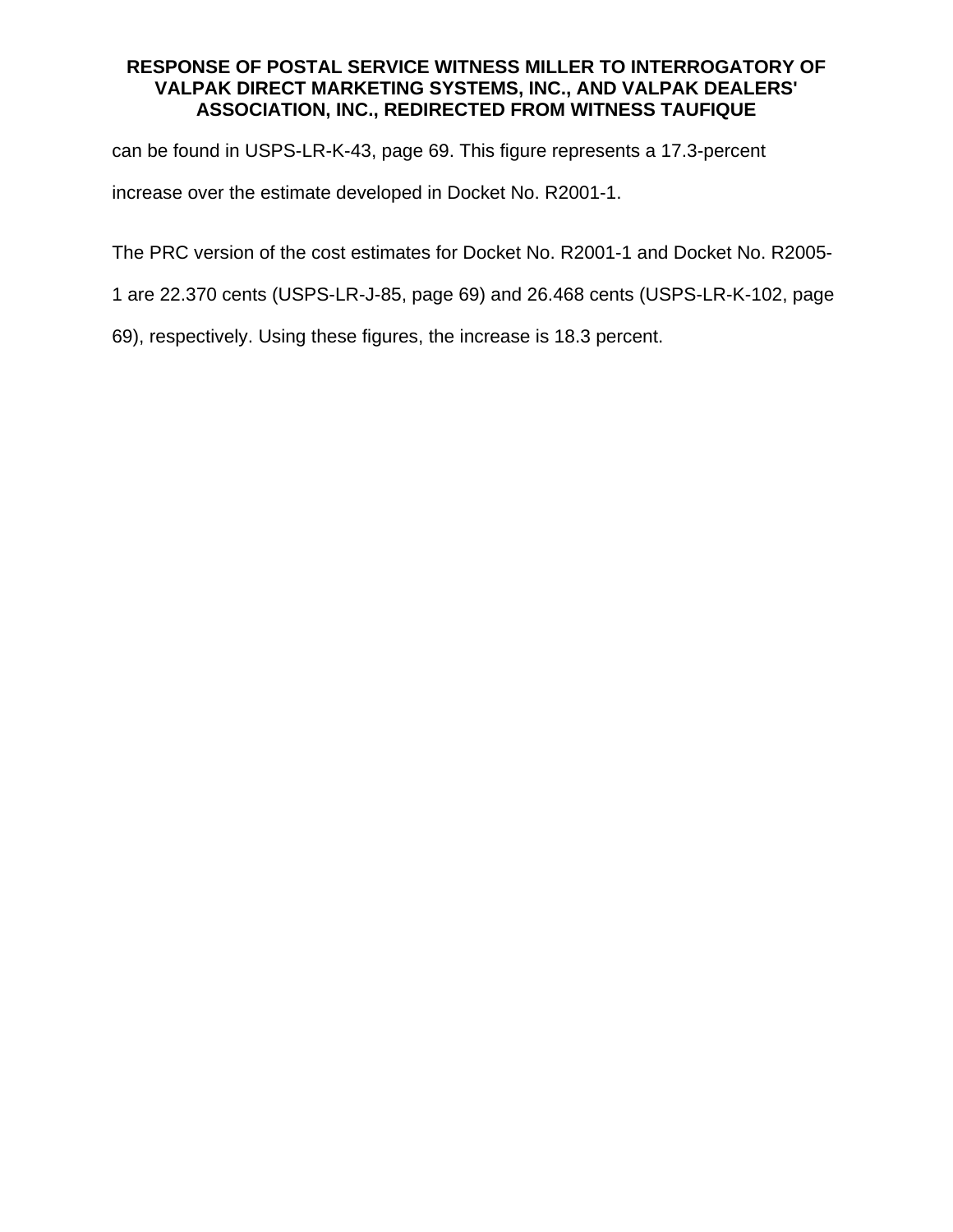can be found in USPS-LR-K-43, page 69. This figure represents a 17.3-percent

increase over the estimate developed in Docket No. R2001-1.

The PRC version of the cost estimates for Docket No. R2001-1 and Docket No. R2005-

1 are 22.370 cents (USPS-LR-J-85, page 69) and 26.468 cents (USPS-LR-K-102, page

69), respectively. Using these figures, the increase is 18.3 percent.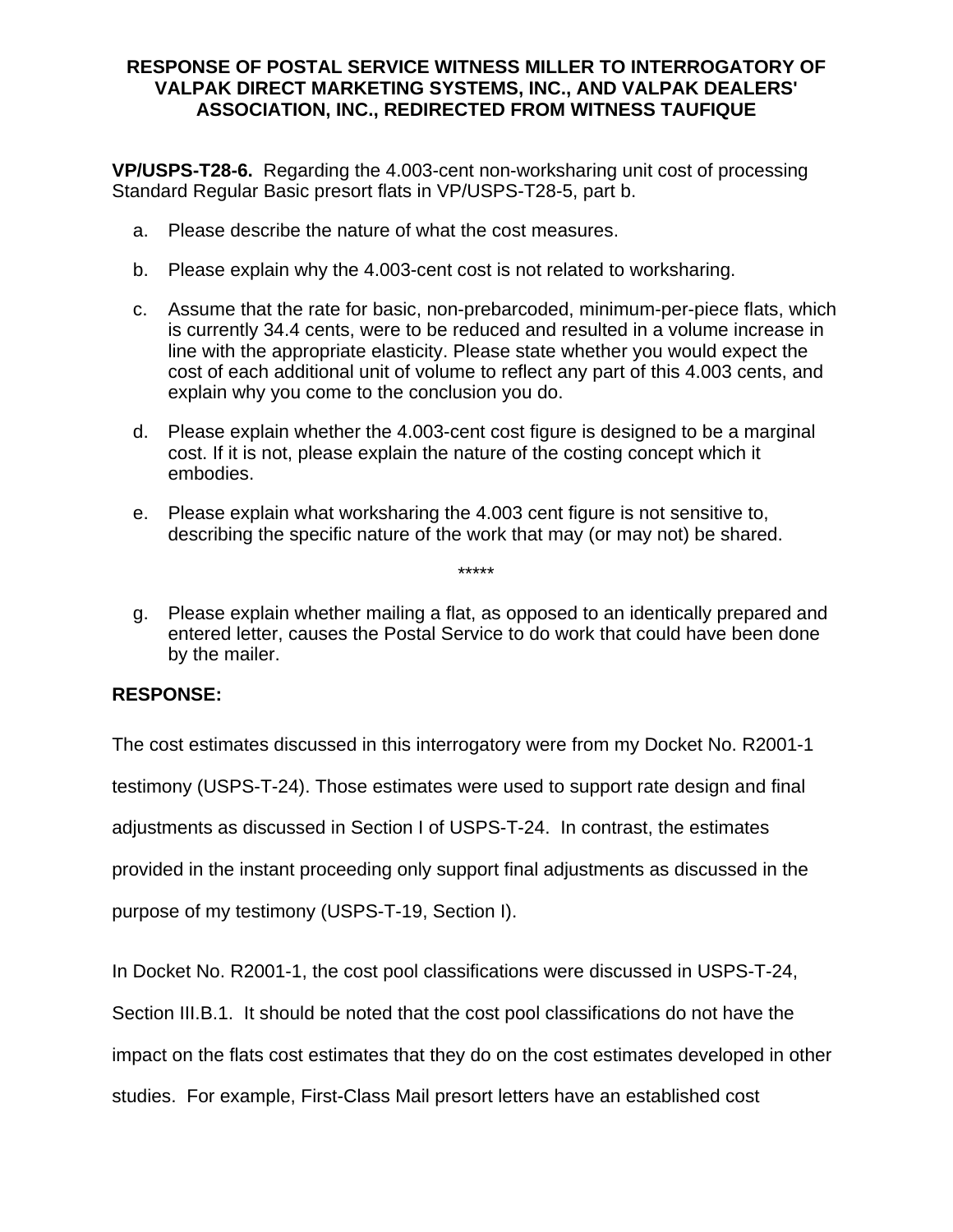**VP/USPS-T28-6.** Regarding the 4.003-cent non-worksharing unit cost of processing Standard Regular Basic presort flats in VP/USPS-T28-5, part b.

- a. Please describe the nature of what the cost measures.
- b. Please explain why the 4.003-cent cost is not related to worksharing.
- c. Assume that the rate for basic, non-prebarcoded, minimum-per-piece flats, which is currently 34.4 cents, were to be reduced and resulted in a volume increase in line with the appropriate elasticity. Please state whether you would expect the cost of each additional unit of volume to reflect any part of this 4.003 cents, and explain why you come to the conclusion you do.
- d. Please explain whether the 4.003-cent cost figure is designed to be a marginal cost. If it is not, please explain the nature of the costing concept which it embodies.
- e. Please explain what worksharing the 4.003 cent figure is not sensitive to, describing the specific nature of the work that may (or may not) be shared.
- g. Please explain whether mailing a flat, as opposed to an identically prepared and entered letter, causes the Postal Service to do work that could have been done by the mailer.

\*\*\*\*\*

# **RESPONSE:**

The cost estimates discussed in this interrogatory were from my Docket No. R2001-1 testimony (USPS-T-24). Those estimates were used to support rate design and final adjustments as discussed in Section I of USPS-T-24. In contrast, the estimates provided in the instant proceeding only support final adjustments as discussed in the purpose of my testimony (USPS-T-19, Section I).

In Docket No. R2001-1, the cost pool classifications were discussed in USPS-T-24,

Section III.B.1. It should be noted that the cost pool classifications do not have the

impact on the flats cost estimates that they do on the cost estimates developed in other

studies. For example, First-Class Mail presort letters have an established cost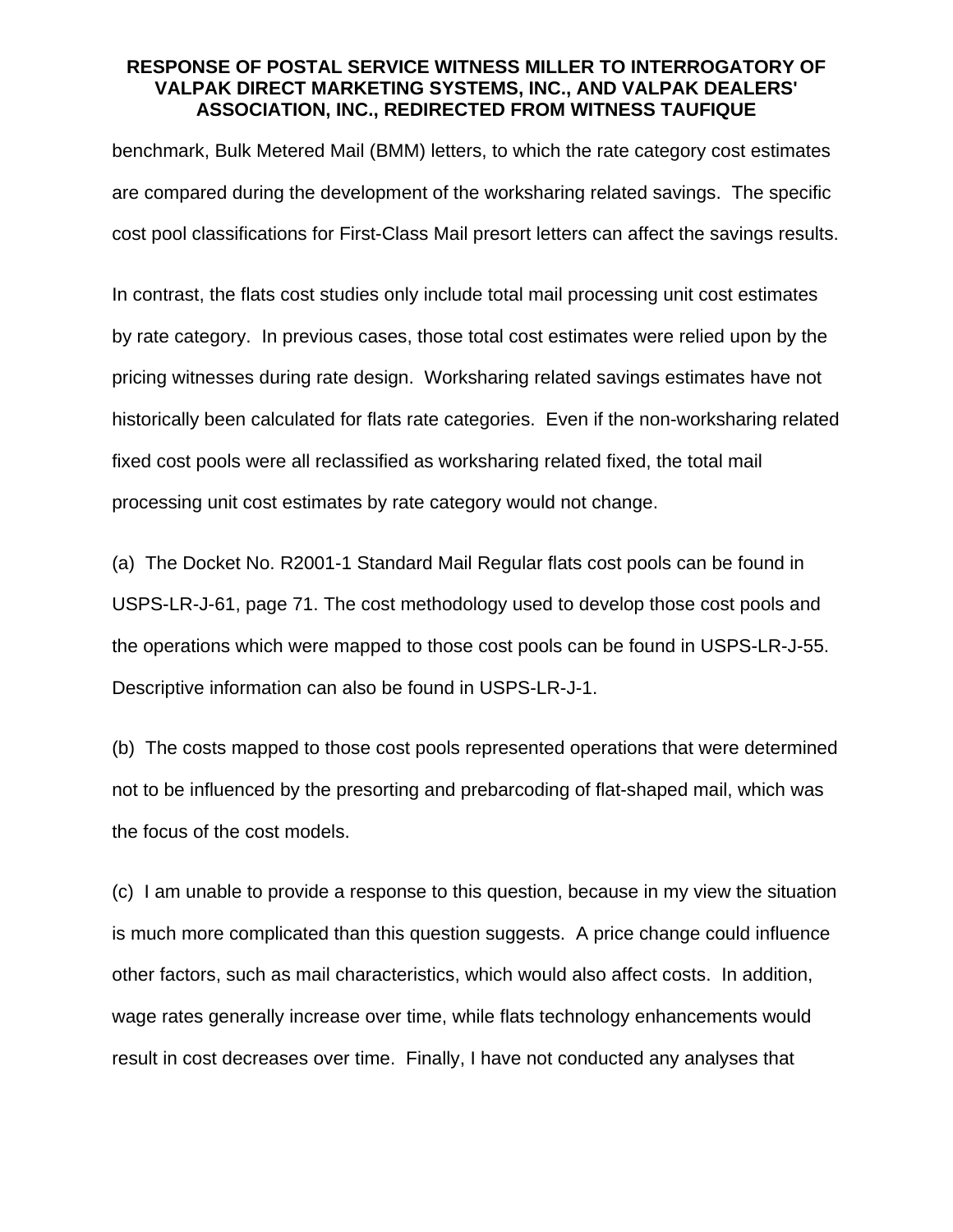benchmark, Bulk Metered Mail (BMM) letters, to which the rate category cost estimates are compared during the development of the worksharing related savings. The specific cost pool classifications for First-Class Mail presort letters can affect the savings results.

In contrast, the flats cost studies only include total mail processing unit cost estimates by rate category. In previous cases, those total cost estimates were relied upon by the pricing witnesses during rate design. Worksharing related savings estimates have not historically been calculated for flats rate categories. Even if the non-worksharing related fixed cost pools were all reclassified as worksharing related fixed, the total mail processing unit cost estimates by rate category would not change.

(a) The Docket No. R2001-1 Standard Mail Regular flats cost pools can be found in USPS-LR-J-61, page 71. The cost methodology used to develop those cost pools and the operations which were mapped to those cost pools can be found in USPS-LR-J-55. Descriptive information can also be found in USPS-LR-J-1.

(b) The costs mapped to those cost pools represented operations that were determined not to be influenced by the presorting and prebarcoding of flat-shaped mail, which was the focus of the cost models.

(c) I am unable to provide a response to this question, because in my view the situation is much more complicated than this question suggests. A price change could influence other factors, such as mail characteristics, which would also affect costs. In addition, wage rates generally increase over time, while flats technology enhancements would result in cost decreases over time. Finally, I have not conducted any analyses that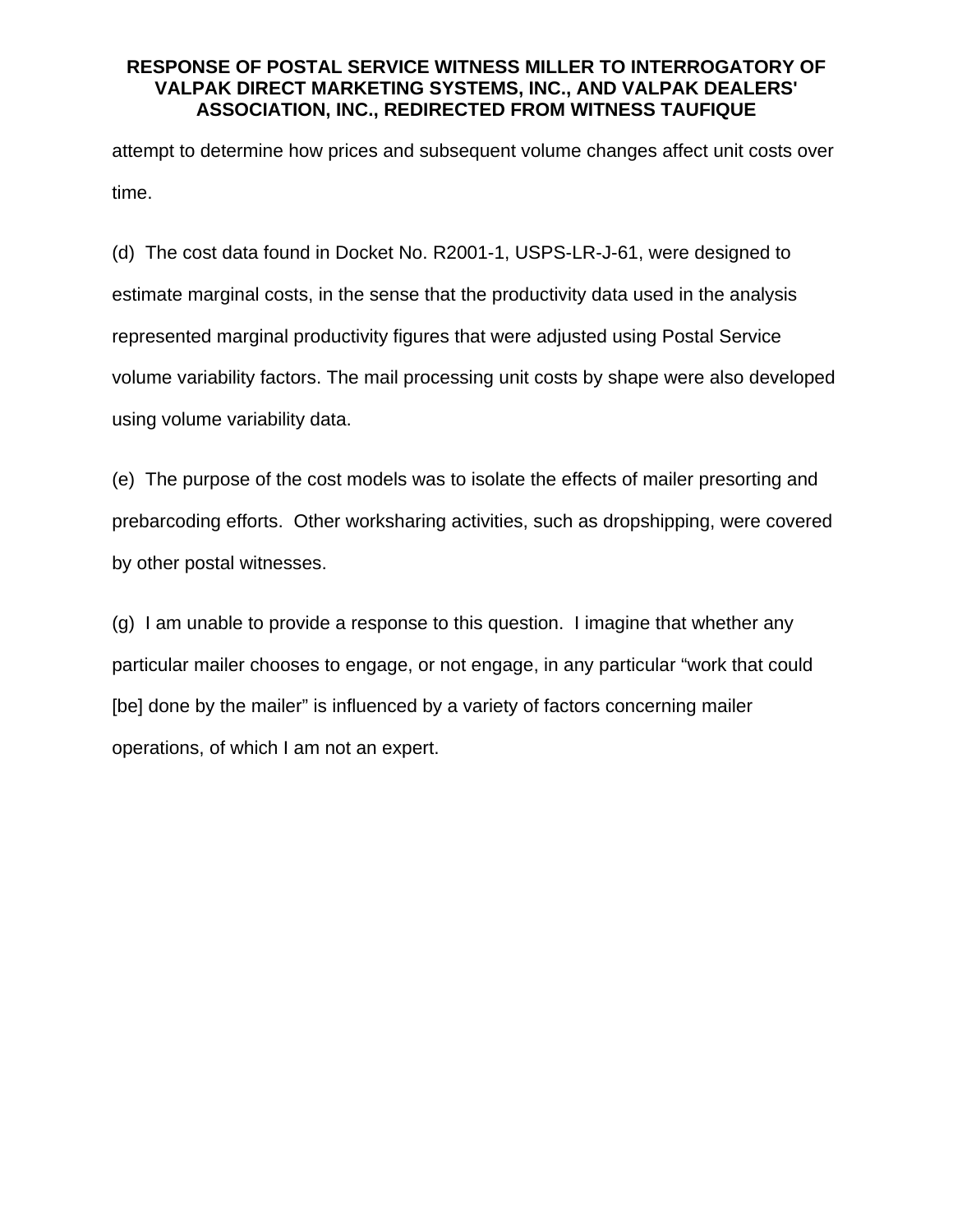attempt to determine how prices and subsequent volume changes affect unit costs over time.

(d) The cost data found in Docket No. R2001-1, USPS-LR-J-61, were designed to estimate marginal costs, in the sense that the productivity data used in the analysis represented marginal productivity figures that were adjusted using Postal Service volume variability factors. The mail processing unit costs by shape were also developed using volume variability data.

(e) The purpose of the cost models was to isolate the effects of mailer presorting and prebarcoding efforts. Other worksharing activities, such as dropshipping, were covered by other postal witnesses.

(g) I am unable to provide a response to this question. I imagine that whether any particular mailer chooses to engage, or not engage, in any particular "work that could [be] done by the mailer" is influenced by a variety of factors concerning mailer operations, of which I am not an expert.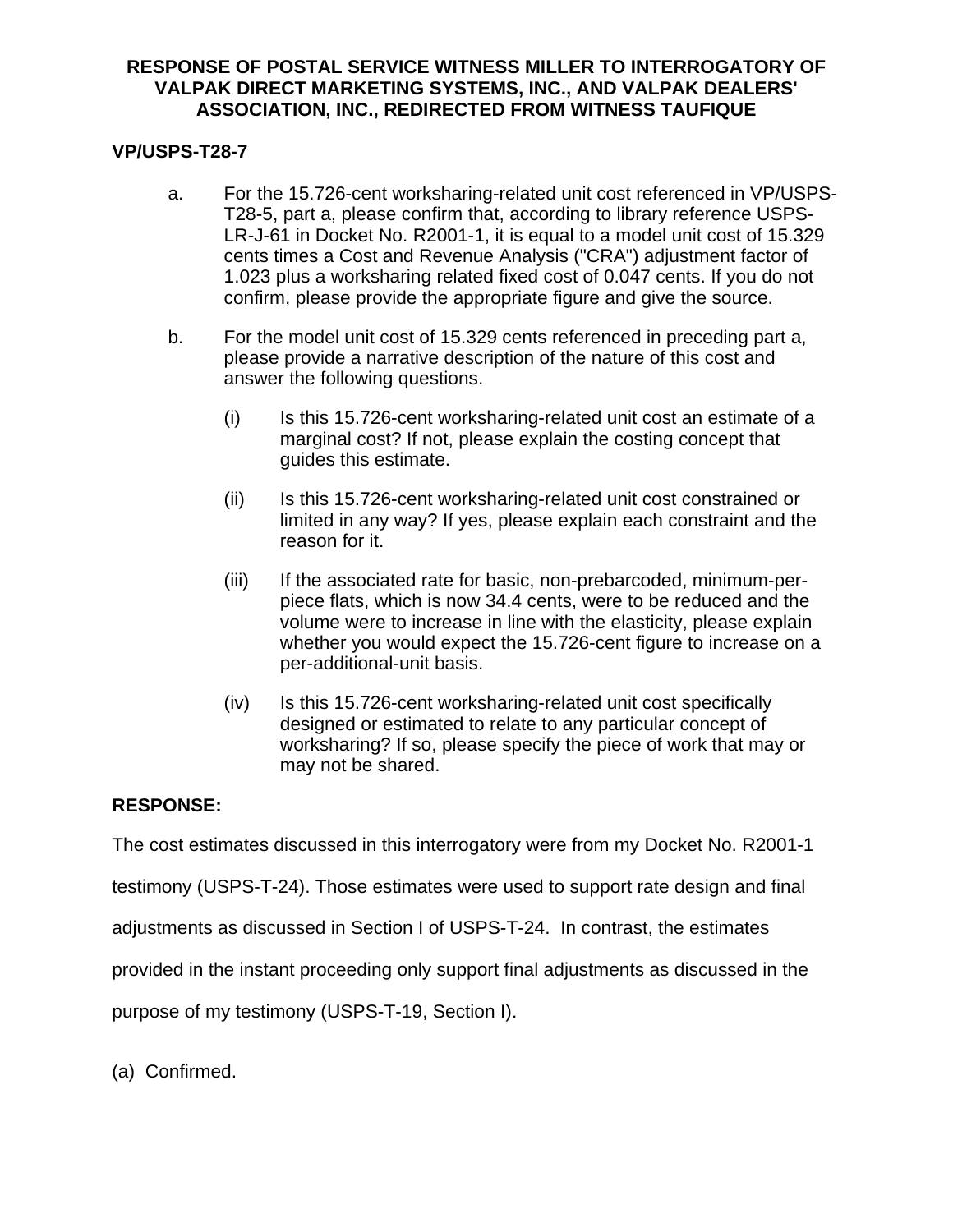# **VP/USPS-T28-7**

- a. For the 15.726-cent worksharing-related unit cost referenced in VP/USPS-T28-5, part a, please confirm that, according to library reference USPS-LR-J-61 in Docket No. R2001-1, it is equal to a model unit cost of 15.329 cents times a Cost and Revenue Analysis ("CRA") adjustment factor of 1.023 plus a worksharing related fixed cost of 0.047 cents. If you do not confirm, please provide the appropriate figure and give the source.
- b. For the model unit cost of 15.329 cents referenced in preceding part a, please provide a narrative description of the nature of this cost and answer the following questions.
	- (i) Is this 15.726-cent worksharing-related unit cost an estimate of a marginal cost? If not, please explain the costing concept that guides this estimate.
	- (ii) Is this 15.726-cent worksharing-related unit cost constrained or limited in any way? If yes, please explain each constraint and the reason for it.
	- (iii) If the associated rate for basic, non-prebarcoded, minimum-perpiece flats, which is now 34.4 cents, were to be reduced and the volume were to increase in line with the elasticity, please explain whether you would expect the 15.726-cent figure to increase on a per-additional-unit basis.
	- (iv) Is this 15.726-cent worksharing-related unit cost specifically designed or estimated to relate to any particular concept of worksharing? If so, please specify the piece of work that may or may not be shared.

# **RESPONSE:**

The cost estimates discussed in this interrogatory were from my Docket No. R2001-1

testimony (USPS-T-24). Those estimates were used to support rate design and final

adjustments as discussed in Section I of USPS-T-24. In contrast, the estimates

provided in the instant proceeding only support final adjustments as discussed in the

purpose of my testimony (USPS-T-19, Section I).

(a) Confirmed.